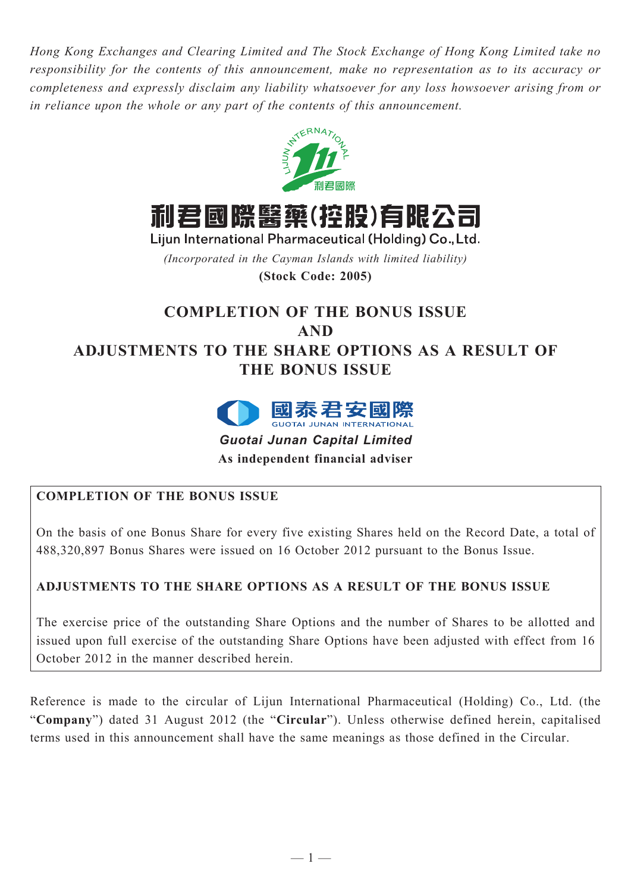*Hong Kong Exchanges and Clearing Limited and The Stock Exchange of Hong Kong Limited take no responsibility for the contents of this announcement, make no representation as to its accuracy or completeness and expressly disclaim any liability whatsoever for any loss howsoever arising from or in reliance upon the whole or any part of the contents of this announcement.*



利君國際醫藥(控股)有限公司

Lijun International Pharmaceutical (Holding) Co., Ltd.

*(Incorporated in the Cayman Islands with limited liability)*

**(Stock Code: 2005)**

# **COMPLETION OF THE BONUS ISSUE AND ADJUSTMENTS TO THE SHARE OPTIONS AS A RESULT OF THE BONUS ISSUE**



*Guotai Junan Capital Limited*

**As independent financial adviser**

## **COMPLETION OF THE BONUS ISSUE**

On the basis of one Bonus Share for every five existing Shares held on the Record Date, a total of 488,320,897 Bonus Shares were issued on 16 October 2012 pursuant to the Bonus Issue.

## **ADJUSTMENTS TO THE SHARE OPTIONS AS A RESULT OF THE BONUS ISSUE**

The exercise price of the outstanding Share Options and the number of Shares to be allotted and issued upon full exercise of the outstanding Share Options have been adjusted with effect from 16 October 2012 in the manner described herein.

Reference is made to the circular of Lijun International Pharmaceutical (Holding) Co., Ltd. (the "**Company**") dated 31 August 2012 (the "**Circular**"). Unless otherwise defined herein, capitalised terms used in this announcement shall have the same meanings as those defined in the Circular.